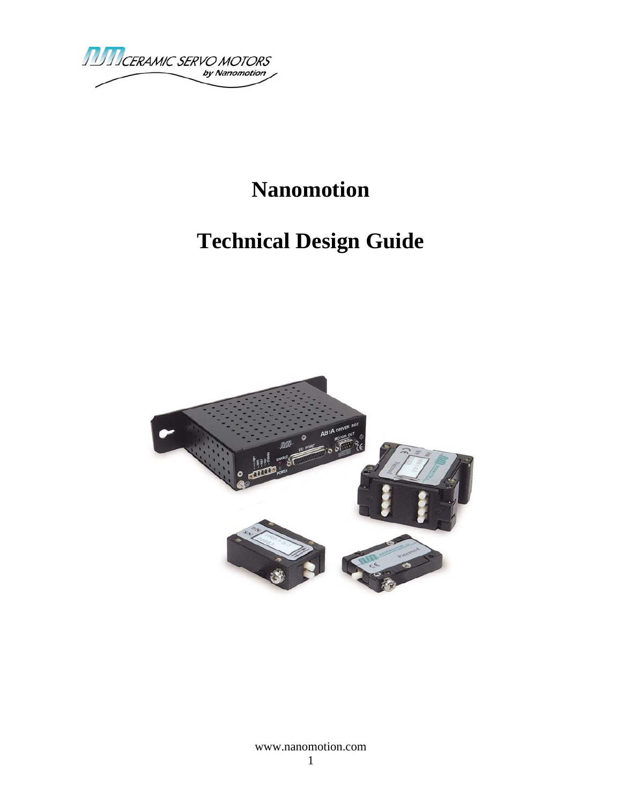

# **Nanomotion**

# **Technical Design Guide**

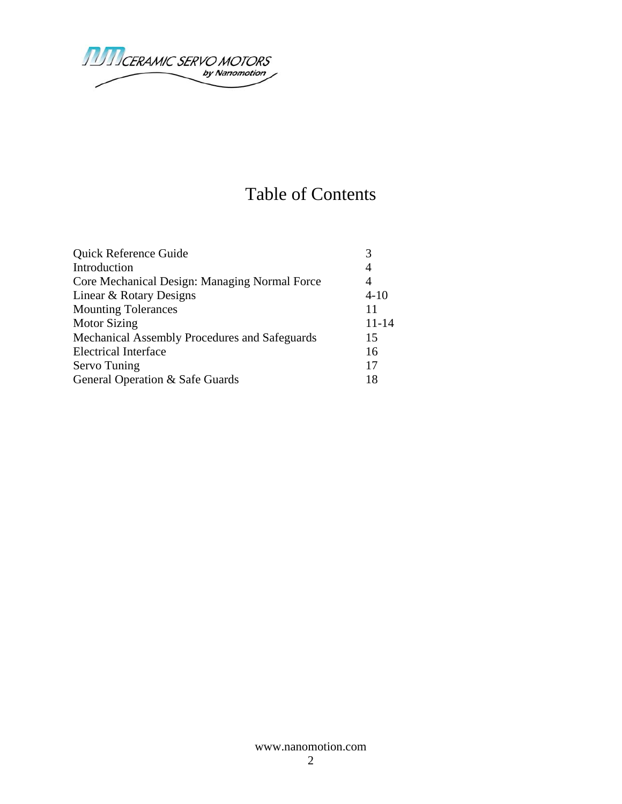

## Table of Contents

| Quick Reference Guide                         |           |
|-----------------------------------------------|-----------|
| Introduction                                  | 4         |
| Core Mechanical Design: Managing Normal Force | 4         |
| Linear & Rotary Designs                       | $4 - 10$  |
| <b>Mounting Tolerances</b>                    | 11        |
| <b>Motor Sizing</b>                           | $11 - 14$ |
| Mechanical Assembly Procedures and Safeguards | 15        |
| <b>Electrical Interface</b>                   | 16        |
| Servo Tuning                                  | 17        |
| General Operation & Safe Guards               | 18        |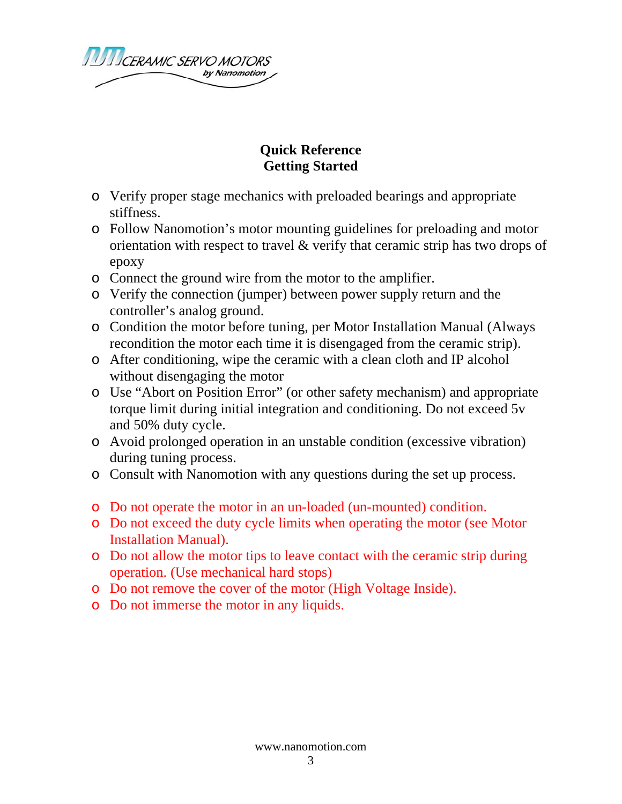

### **Quick Reference Getting Started**

- o Verify proper stage mechanics with preloaded bearings and appropriate stiffness.
- o Follow Nanomotion's motor mounting guidelines for preloading and motor orientation with respect to travel & verify that ceramic strip has two drops of epoxy
- o Connect the ground wire from the motor to the amplifier.
- o Verify the connection (jumper) between power supply return and the controller's analog ground.
- o Condition the motor before tuning, per Motor Installation Manual (Always recondition the motor each time it is disengaged from the ceramic strip).
- o After conditioning, wipe the ceramic with a clean cloth and IP alcohol without disengaging the motor
- o Use "Abort on Position Error" (or other safety mechanism) and appropriate torque limit during initial integration and conditioning. Do not exceed 5v and 50% duty cycle.
- o Avoid prolonged operation in an unstable condition (excessive vibration) during tuning process.
- o Consult with Nanomotion with any questions during the set up process.
- o Do not operate the motor in an un-loaded (un-mounted) condition.
- o Do not exceed the duty cycle limits when operating the motor (see Motor Installation Manual).
- o Do not allow the motor tips to leave contact with the ceramic strip during operation. (Use mechanical hard stops)
- o Do not remove the cover of the motor (High Voltage Inside).
- o Do not immerse the motor in any liquids.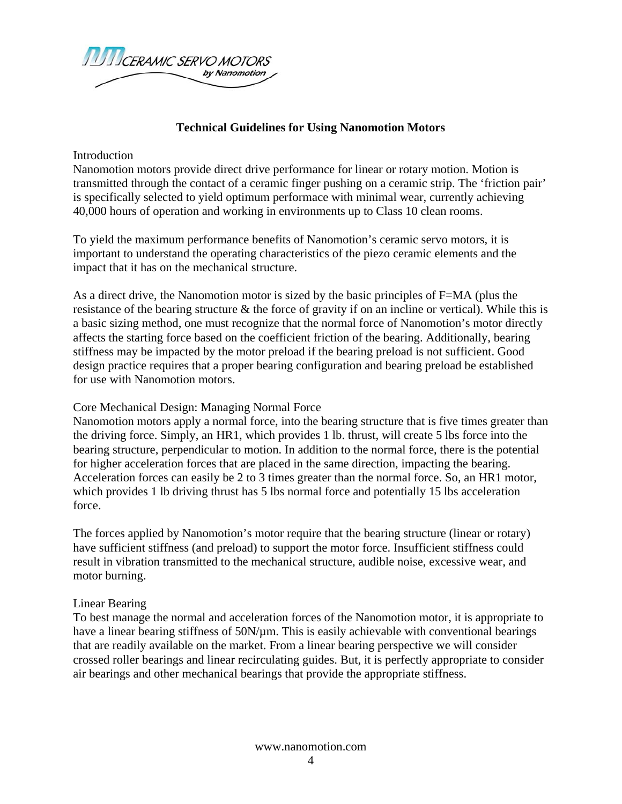

#### **Technical Guidelines for Using Nanomotion Motors**

#### Introduction

Nanomotion motors provide direct drive performance for linear or rotary motion. Motion is transmitted through the contact of a ceramic finger pushing on a ceramic strip. The 'friction pair' is specifically selected to yield optimum performace with minimal wear, currently achieving 40,000 hours of operation and working in environments up to Class 10 clean rooms.

To yield the maximum performance benefits of Nanomotion's ceramic servo motors, it is important to understand the operating characteristics of the piezo ceramic elements and the impact that it has on the mechanical structure.

As a direct drive, the Nanomotion motor is sized by the basic principles of F=MA (plus the resistance of the bearing structure & the force of gravity if on an incline or vertical). While this is a basic sizing method, one must recognize that the normal force of Nanomotion's motor directly affects the starting force based on the coefficient friction of the bearing. Additionally, bearing stiffness may be impacted by the motor preload if the bearing preload is not sufficient. Good design practice requires that a proper bearing configuration and bearing preload be established for use with Nanomotion motors.

#### Core Mechanical Design: Managing Normal Force

Nanomotion motors apply a normal force, into the bearing structure that is five times greater than the driving force. Simply, an HR1, which provides 1 lb. thrust, will create 5 lbs force into the bearing structure, perpendicular to motion. In addition to the normal force, there is the potential for higher acceleration forces that are placed in the same direction, impacting the bearing. Acceleration forces can easily be 2 to 3 times greater than the normal force. So, an HR1 motor, which provides 1 lb driving thrust has 5 lbs normal force and potentially 15 lbs acceleration force.

The forces applied by Nanomotion's motor require that the bearing structure (linear or rotary) have sufficient stiffness (and preload) to support the motor force. Insufficient stiffness could result in vibration transmitted to the mechanical structure, audible noise, excessive wear, and motor burning.

#### Linear Bearing

To best manage the normal and acceleration forces of the Nanomotion motor, it is appropriate to have a linear bearing stiffness of 50N/µm. This is easily achievable with conventional bearings that are readily available on the market. From a linear bearing perspective we will consider crossed roller bearings and linear recirculating guides. But, it is perfectly appropriate to consider air bearings and other mechanical bearings that provide the appropriate stiffness.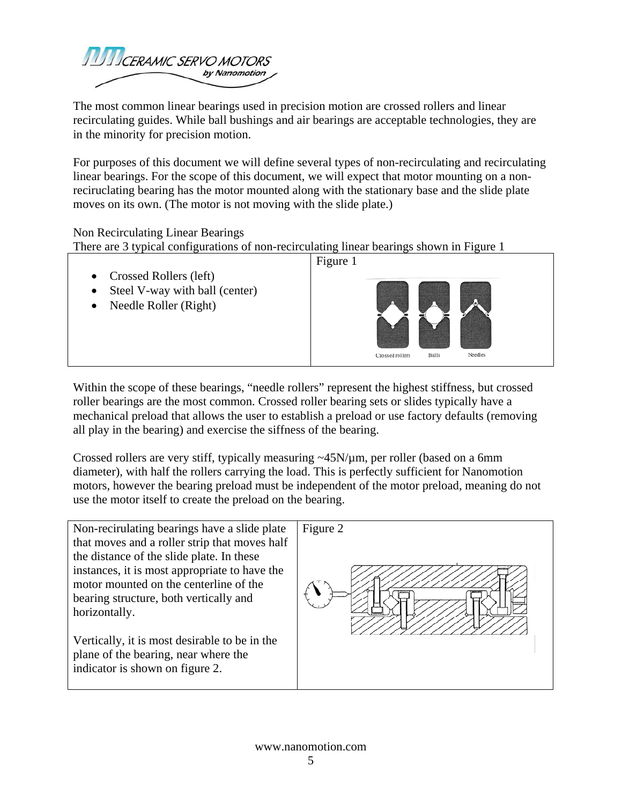

The most common linear bearings used in precision motion are crossed rollers and linear recirculating guides. While ball bushings and air bearings are acceptable technologies, they are in the minority for precision motion.

For purposes of this document we will define several types of non-recirculating and recirculating linear bearings. For the scope of this document, we will expect that motor mounting on a nonreciruclating bearing has the motor mounted along with the stationary base and the slide plate moves on its own. (The motor is not moving with the slide plate.)

Non Recirculating Linear Bearings

There are 3 typical configurations of non-recirculating linear bearings shown in Figure 1

Figure 1 • Crossed Rollers (left) • Steel V-way with ball (center) • Needle Roller (Right) Crossed rollers Balls Needles

Within the scope of these bearings, "needle rollers" represent the highest stiffness, but crossed roller bearings are the most common. Crossed roller bearing sets or slides typically have a mechanical preload that allows the user to establish a preload or use factory defaults (removing all play in the bearing) and exercise the siffness of the bearing.

Crossed rollers are very stiff, typically measuring ~45N/µm, per roller (based on a 6mm diameter), with half the rollers carrying the load. This is perfectly sufficient for Nanomotion motors, however the bearing preload must be independent of the motor preload, meaning do not use the motor itself to create the preload on the bearing.

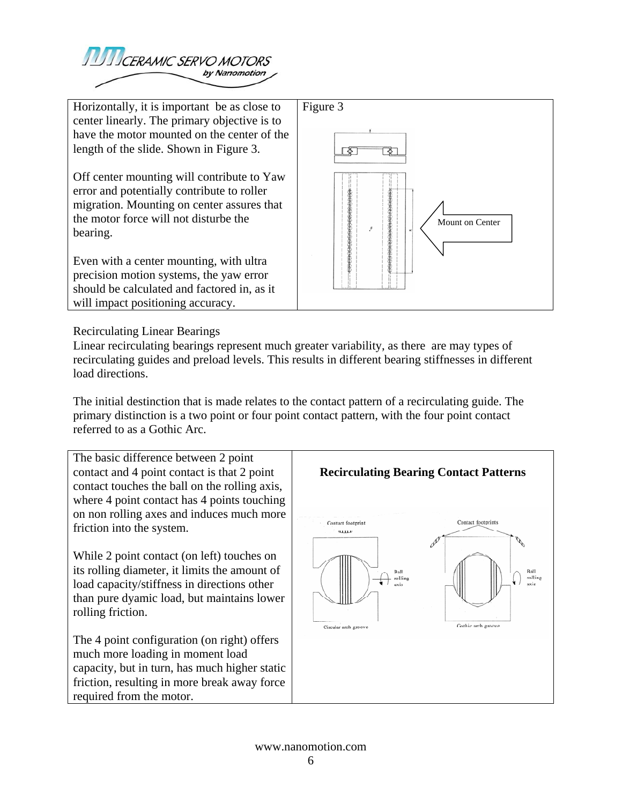

Horizontally, it is important be as close to center linearly. The primary objective is to have the motor mounted on the center of the length of the slide. Shown in Figure 3.

Off center mounting will contribute to Yaw error and potentially contribute to roller migration. Mounting on center assures that the motor force will not disturbe the bearing.

Even with a center mounting, with ultra precision motion systems, the yaw error should be calculated and factored in, as it will impact positioning accuracy.



Recirculating Linear Bearings

Linear recirculating bearings represent much greater variability, as there are may types of recirculating guides and preload levels. This results in different bearing stiffnesses in different load directions.

The initial destinction that is made relates to the contact pattern of a recirculating guide. The primary distinction is a two point or four point contact pattern, with the four point contact referred to as a Gothic Arc.

The basic difference between 2 point contact and 4 point contact is that 2 point contact touches the ball on the rolling axis, where 4 point contact has 4 points touching on non rolling axes and induces much more friction into the system.

While 2 point contact (on left) touches on its rolling diameter, it limits the amount of load capacity/stiffness in directions other than pure dyamic load, but maintains lower rolling friction.

The 4 point configuration (on right) offers much more loading in moment load capacity, but in turn, has much higher static friction, resulting in more break away force required from the motor.

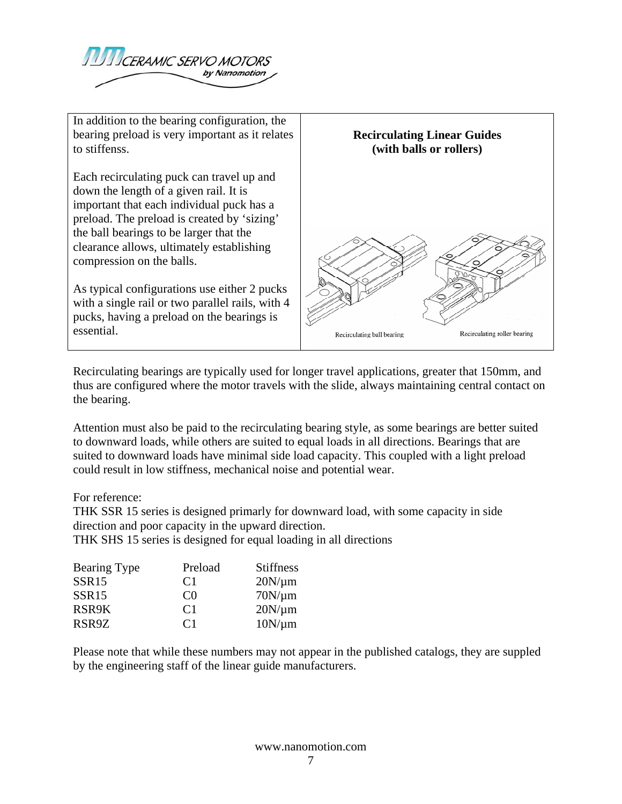

In addition to the bearing configuration, the bearing preload is very important as it relates to stiffenss.

Each recirculating puck can travel up and down the length of a given rail. It is important that each individual puck has a preload. The preload is created by 'sizing' the ball bearings to be larger that the clearance allows, ultimately establishing compression on the balls.

As typical configurations use either 2 pucks with a single rail or two parallel rails, with 4 pucks, having a preload on the bearings is essential.



Recirculating bearings are typically used for longer travel applications, greater that 150mm, and thus are configured where the motor travels with the slide, always maintaining central contact on the bearing.

Attention must also be paid to the recirculating bearing style, as some bearings are better suited to downward loads, while others are suited to equal loads in all directions. Bearings that are suited to downward loads have minimal side load capacity. This coupled with a light preload could result in low stiffness, mechanical noise and potential wear.

#### For reference:

THK SSR 15 series is designed primarly for downward load, with some capacity in side direction and poor capacity in the upward direction.

THK SHS 15 series is designed for equal loading in all directions

| Bearing Type      | Preload        | <b>Stiffness</b> |
|-------------------|----------------|------------------|
| SSR <sub>15</sub> | C <sub>1</sub> | $20N/\mu m$      |
| SSR <sub>15</sub> | $\cap$         | $70N/\mu m$      |
| RSR9K             | C <sub>1</sub> | $20N/\mu m$      |
| RSR9Z             | C <sub>1</sub> | $10N/\mu m$      |

Please note that while these numbers may not appear in the published catalogs, they are suppled by the engineering staff of the linear guide manufacturers.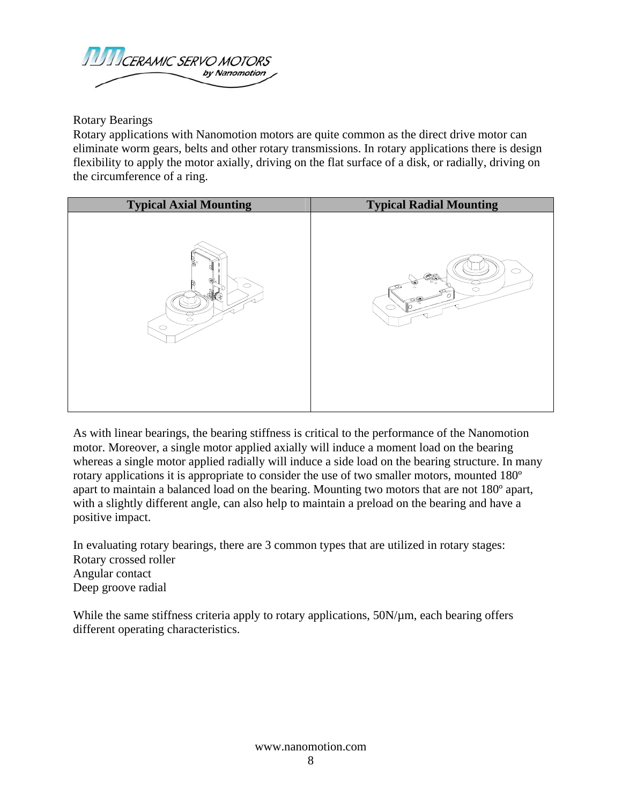

Rotary Bearings

Rotary applications with Nanomotion motors are quite common as the direct drive motor can eliminate worm gears, belts and other rotary transmissions. In rotary applications there is design flexibility to apply the motor axially, driving on the flat surface of a disk, or radially, driving on the circumference of a ring.

| <b>Typical Axial Mounting</b>            | <b>Typical Radial Mounting</b> |
|------------------------------------------|--------------------------------|
| Å,<br>C<br>Ñ<br>10<br>$\circ$<br>$\circ$ | C<br><⊈∰<br>່≏<br>$\circ$<br>ο |

As with linear bearings, the bearing stiffness is critical to the performance of the Nanomotion motor. Moreover, a single motor applied axially will induce a moment load on the bearing whereas a single motor applied radially will induce a side load on the bearing structure. In many rotary applications it is appropriate to consider the use of two smaller motors, mounted 180º apart to maintain a balanced load on the bearing. Mounting two motors that are not 180º apart, with a slightly different angle, can also help to maintain a preload on the bearing and have a positive impact.

In evaluating rotary bearings, there are 3 common types that are utilized in rotary stages: Rotary crossed roller Angular contact Deep groove radial

While the same stiffness criteria apply to rotary applications,  $50N/\mu m$ , each bearing offers different operating characteristics.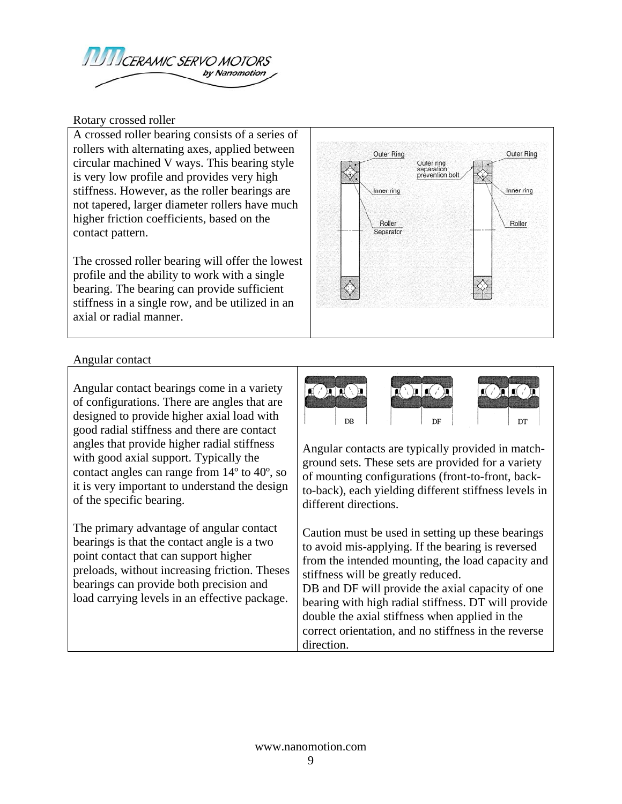

Rotary crossed roller

A crossed roller bearing consists of a series of rollers with alternating axes, applied between circular machined V ways. This bearing style is very low profile and provides very high stiffness. However, as the roller bearings are not tapered, larger diameter rollers have much higher friction coefficients, based on the contact pattern.

The crossed roller bearing will offer the lowest profile and the ability to work with a single bearing. The bearing can provide sufficient stiffness in a single row, and be utilized in an axial or radial manner.



#### Angular contact

Angular contact bearings come in a variety of configurations. There are angles that are designed to provide higher axial load with good radial stiffness and there are contact angles that provide higher radial stiffness with good axial support. Typically the contact angles can range from 14º to 40º, so it is very important to understand the design of the specific bearing.

The primary advantage of angular contact bearings is that the contact angle is a two point contact that can support higher preloads, without increasing friction. Theses bearings can provide both precision and load carrying levels in an effective package.



Angular contacts are typically provided in matchground sets. These sets are provided for a variety of mounting configurations (front-to-front, backto-back), each yielding different stiffness levels in different directions.

Caution must be used in setting up these bearings to avoid mis-applying. If the bearing is reversed from the intended mounting, the load capacity and stiffness will be greatly reduced. DB and DF will provide the axial capacity of one bearing with high radial stiffness. DT will provide double the axial stiffness when applied in the correct orientation, and no stiffness in the reverse direction.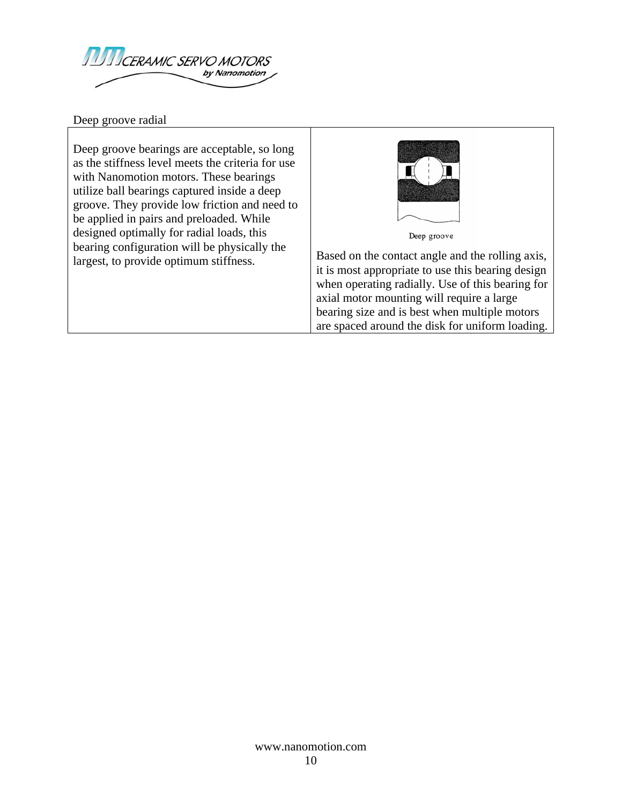

Deep groove radial

Deep groove bearings are acceptable, so long as the stiffness level meets the criteria for use with Nanomotion motors. These bearings utilize ball bearings captured inside a deep groove. They provide low friction and need to be applied in pairs and preloaded. While designed optimally for radial loads, this bearing configuration will be physically the



Deep groove

largest, to provide optimum stiffness. it is most appropriate to use this bearing design when operating radially. Use of this bearing for axial motor mounting will require a large bearing size and is best when multiple motors are spaced around the disk for uniform loading.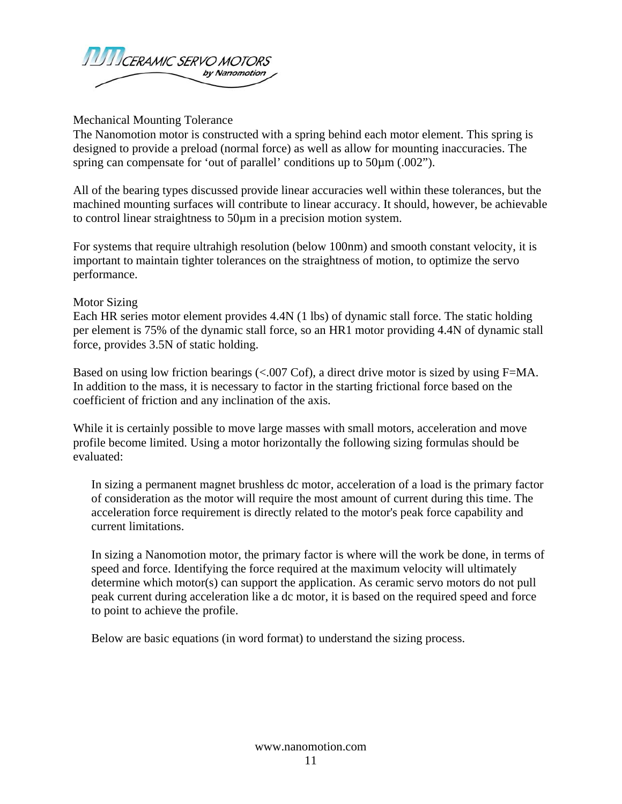

Mechanical Mounting Tolerance

The Nanomotion motor is constructed with a spring behind each motor element. This spring is designed to provide a preload (normal force) as well as allow for mounting inaccuracies. The spring can compensate for 'out of parallel' conditions up to 50 $\mu$ m (.002").

All of the bearing types discussed provide linear accuracies well within these tolerances, but the machined mounting surfaces will contribute to linear accuracy. It should, however, be achievable to control linear straightness to 50µm in a precision motion system.

For systems that require ultrahigh resolution (below 100nm) and smooth constant velocity, it is important to maintain tighter tolerances on the straightness of motion, to optimize the servo performance.

#### Motor Sizing

Each HR series motor element provides 4.4N (1 lbs) of dynamic stall force. The static holding per element is 75% of the dynamic stall force, so an HR1 motor providing 4.4N of dynamic stall force, provides 3.5N of static holding.

Based on using low friction bearings (<.007 Cof), a direct drive motor is sized by using F=MA. In addition to the mass, it is necessary to factor in the starting frictional force based on the coefficient of friction and any inclination of the axis.

While it is certainly possible to move large masses with small motors, acceleration and move profile become limited. Using a motor horizontally the following sizing formulas should be evaluated:

In sizing a permanent magnet brushless dc motor, acceleration of a load is the primary factor of consideration as the motor will require the most amount of current during this time. The acceleration force requirement is directly related to the motor's peak force capability and current limitations.

In sizing a Nanomotion motor, the primary factor is where will the work be done, in terms of speed and force. Identifying the force required at the maximum velocity will ultimately determine which motor(s) can support the application. As ceramic servo motors do not pull peak current during acceleration like a dc motor, it is based on the required speed and force to point to achieve the profile.

Below are basic equations (in word format) to understand the sizing process.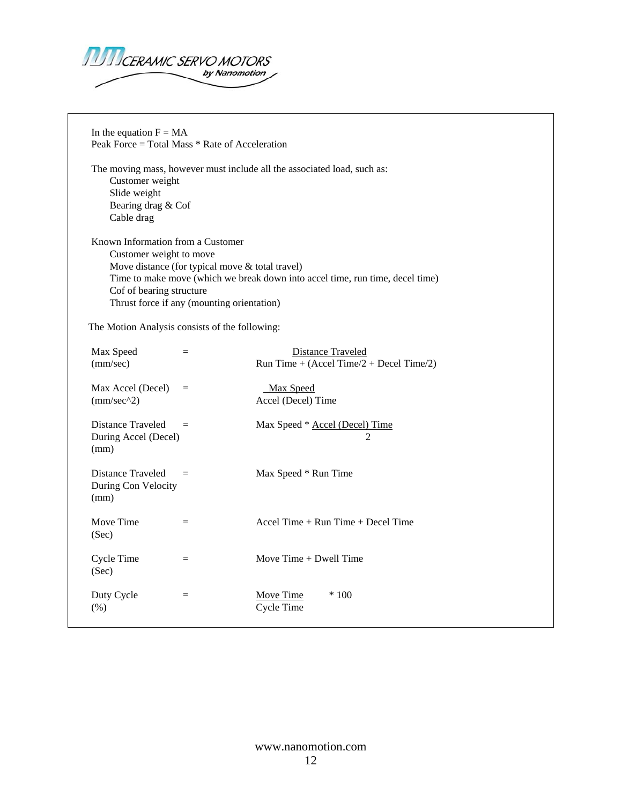

In the equation  $F = MA$ Peak Force = Total Mass \* Rate of Acceleration The moving mass, however must include all the associated load, such as: Customer weight Slide weight Bearing drag & Cof Cable drag Known Information from a Customer Customer weight to move Move distance (for typical move & total travel) Time to make move (which we break down into accel time, run time, decel time) Cof of bearing structure Thrust force if any (mounting orientation) The Motion Analysis consists of the following: Max Speed = Distance Traveled (mm/sec) Run Time +  $(Accel Time/2 + Decel Time/2)$  $Max$  Accel (Decel) = Max Speed (mm/sec^2) Accel (Decel) Time Distance Traveled = Max Speed \* Accel (Decel) Time During Accel (Decel) 2 (mm) Distance Traveled = Max Speed \* Run Time During Con Velocity (mm) Move Time  $=$  Accel Time + Run Time + Decel Time (Sec)  $Cycle Time =$  Move Time + Dwell Time (Sec) Duty Cycle  $=$   $\frac{\text{Move Time}}{\text{100}}$  \* 100 (%) Cycle Time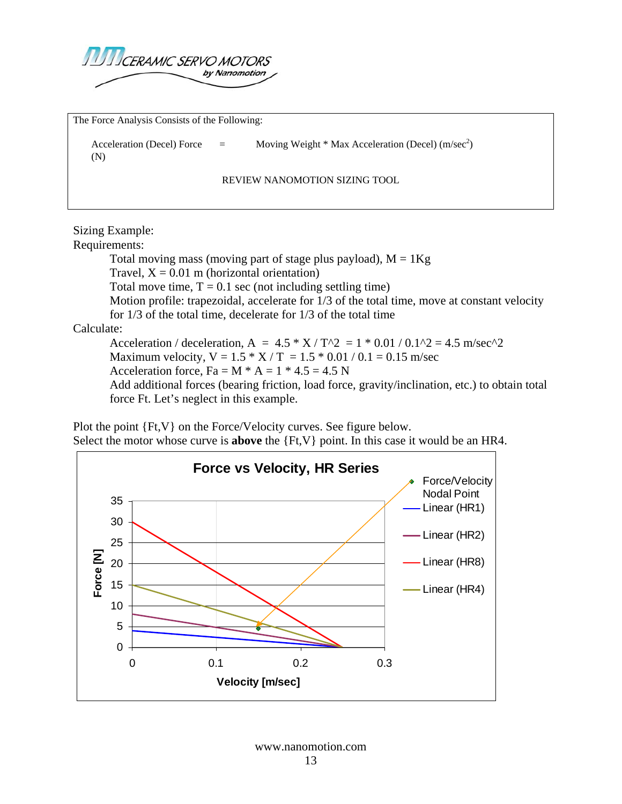

The Force Analysis Consists of the Following:

Acceleration (Decel) Force  $=$  Moving Weight \* Max Acceleration (Decel) (m/sec<sup>2</sup>) (N)

REVIEW NANOMOTION SIZING TOOL

Sizing Example:

Requirements:

Total moving mass (moving part of stage plus payload),  $M = 1Kg$ Travel,  $X = 0.01$  m (horizontal orientation) Total move time,  $T = 0.1$  sec (not including settling time) Motion profile: trapezoidal, accelerate for 1/3 of the total time, move at constant velocity for 1/3 of the total time, decelerate for 1/3 of the total time

Calculate:

Acceleration / deceleration, A =  $4.5 * X / T^2 = 1 * 0.01 / 0.1^2 = 4.5$  m/sec<sup>2</sup>2 Maximum velocity,  $V = 1.5 * X / T = 1.5 * 0.01 / 0.1 = 0.15$  m/sec Acceleration force,  $Fa = M * A = 1 * 4.5 = 4.5 N$ Add additional forces (bearing friction, load force, gravity/inclination, etc.) to obtain total force Ft. Let's neglect in this example.

Plot the point {Ft,V} on the Force/Velocity curves. See figure below. Select the motor whose curve is **above** the {Ft,V} point. In this case it would be an HR4.

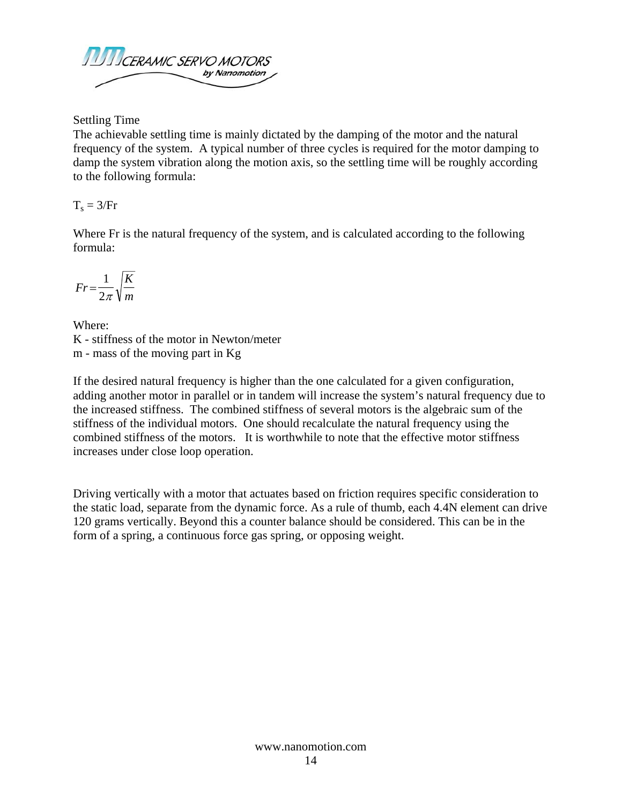

Settling Time

The achievable settling time is mainly dictated by the damping of the motor and the natural frequency of the system. A typical number of three cycles is required for the motor damping to damp the system vibration along the motion axis, so the settling time will be roughly according to the following formula:

 $T_s = 3/Fr$ 

Where Fr is the natural frequency of the system, and is calculated according to the following formula:

$$
Fr = \frac{1}{2\pi} \sqrt{\frac{K}{m}}
$$

Where: K - stiffness of the motor in Newton/meter m - mass of the moving part in Kg

If the desired natural frequency is higher than the one calculated for a given configuration, adding another motor in parallel or in tandem will increase the system's natural frequency due to the increased stiffness. The combined stiffness of several motors is the algebraic sum of the stiffness of the individual motors. One should recalculate the natural frequency using the combined stiffness of the motors. It is worthwhile to note that the effective motor stiffness increases under close loop operation.

Driving vertically with a motor that actuates based on friction requires specific consideration to the static load, separate from the dynamic force. As a rule of thumb, each 4.4N element can drive 120 grams vertically. Beyond this a counter balance should be considered. This can be in the form of a spring, a continuous force gas spring, or opposing weight.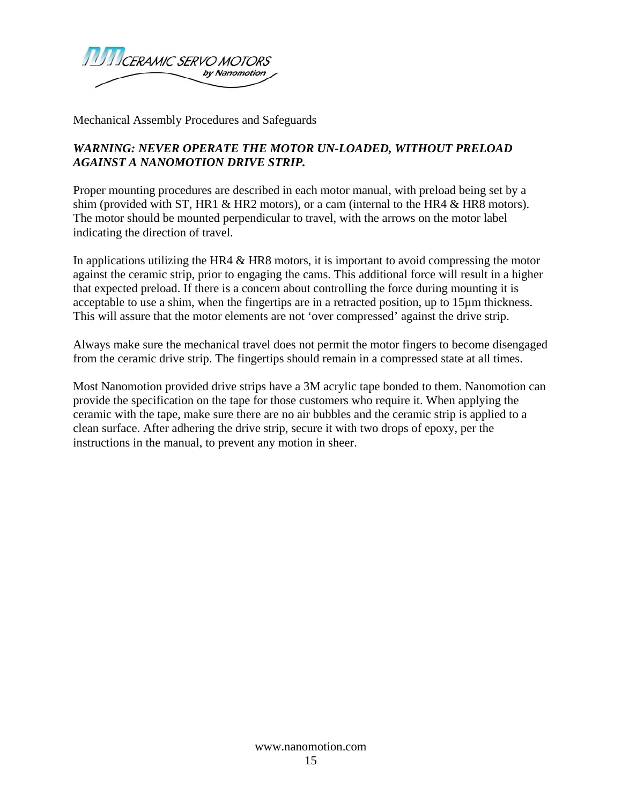

Mechanical Assembly Procedures and Safeguards

### *WARNING: NEVER OPERATE THE MOTOR UN-LOADED, WITHOUT PRELOAD AGAINST A NANOMOTION DRIVE STRIP.*

Proper mounting procedures are described in each motor manual, with preload being set by a shim (provided with ST, HR1  $\&$  HR2 motors), or a cam (internal to the HR4  $\&$  HR8 motors). The motor should be mounted perpendicular to travel, with the arrows on the motor label indicating the direction of travel.

In applications utilizing the HR4 & HR8 motors, it is important to avoid compressing the motor against the ceramic strip, prior to engaging the cams. This additional force will result in a higher that expected preload. If there is a concern about controlling the force during mounting it is acceptable to use a shim, when the fingertips are in a retracted position, up to 15µm thickness. This will assure that the motor elements are not 'over compressed' against the drive strip.

Always make sure the mechanical travel does not permit the motor fingers to become disengaged from the ceramic drive strip. The fingertips should remain in a compressed state at all times.

Most Nanomotion provided drive strips have a 3M acrylic tape bonded to them. Nanomotion can provide the specification on the tape for those customers who require it. When applying the ceramic with the tape, make sure there are no air bubbles and the ceramic strip is applied to a clean surface. After adhering the drive strip, secure it with two drops of epoxy, per the instructions in the manual, to prevent any motion in sheer.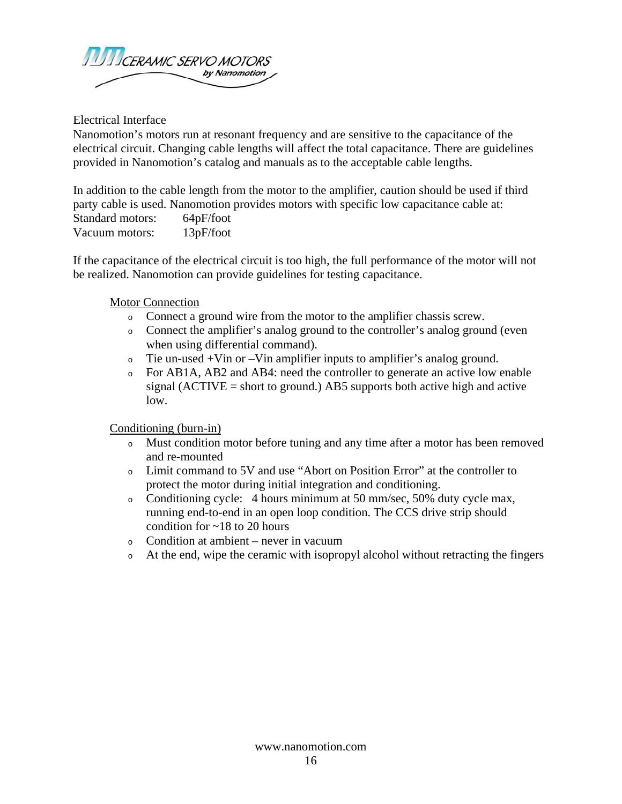

Electrical Interface

Nanomotion's motors run at resonant frequency and are sensitive to the capacitance of the electrical circuit. Changing cable lengths will affect the total capacitance. There are guidelines provided in Nanomotion's catalog and manuals as to the acceptable cable lengths.

In addition to the cable length from the motor to the amplifier, caution should be used if third party cable is used. Nanomotion provides motors with specific low capacitance cable at: Standard motors: 64pF/foot Vacuum motors: 13pF/foot

If the capacitance of the electrical circuit is too high, the full performance of the motor will not be realized. Nanomotion can provide guidelines for testing capacitance.

#### Motor Connection

- <sup>o</sup> Connect a ground wire from the motor to the amplifier chassis screw.
- <sup>o</sup> Connect the amplifier's analog ground to the controller's analog ground (even when using differential command).
- <sup>o</sup> Tie un-used +Vin or –Vin amplifier inputs to amplifier's analog ground.
- <sup>o</sup> For AB1A, AB2 and AB4: need the controller to generate an active low enable signal (ACTIVE  $=$  short to ground.) AB5 supports both active high and active low.

Conditioning (burn-in)

- <sup>o</sup> Must condition motor before tuning and any time after a motor has been removed and re-mounted
- <sup>o</sup> Limit command to 5V and use "Abort on Position Error" at the controller to protect the motor during initial integration and conditioning.
- <sup>o</sup> Conditioning cycle: 4 hours minimum at 50 mm/sec, 50% duty cycle max, running end-to-end in an open loop condition. The CCS drive strip should condition for  $\sim$  18 to 20 hours
- <sup>o</sup> Condition at ambient never in vacuum
- <sup>o</sup> At the end, wipe the ceramic with isopropyl alcohol without retracting the fingers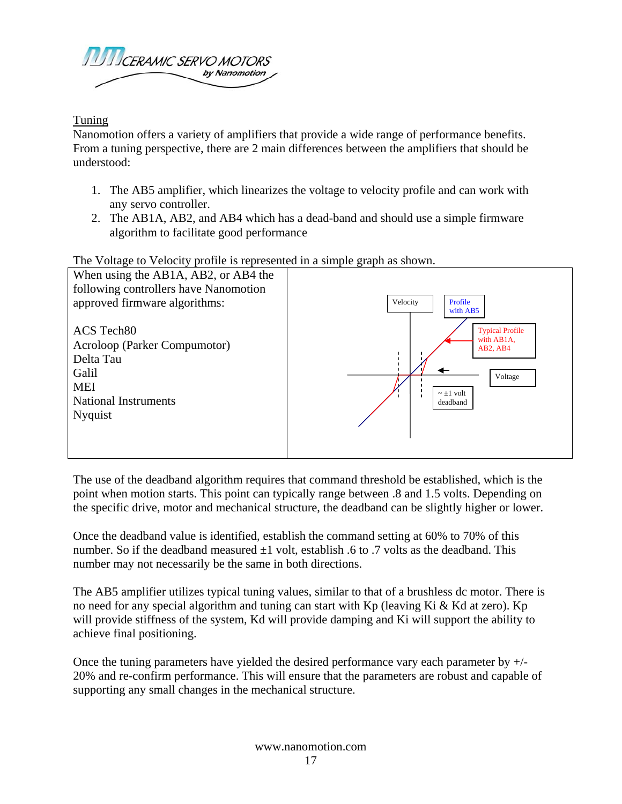

Tuning

Nanomotion offers a variety of amplifiers that provide a wide range of performance benefits. From a tuning perspective, there are 2 main differences between the amplifiers that should be understood:

- 1. The AB5 amplifier, which linearizes the voltage to velocity profile and can work with any servo controller.
- 2. The AB1A, AB2, and AB4 which has a dead-band and should use a simple firmware algorithm to facilitate good performance

The Voltage to Velocity profile is represented in a simple graph as shown.



The use of the deadband algorithm requires that command threshold be established, which is the point when motion starts. This point can typically range between .8 and 1.5 volts. Depending on the specific drive, motor and mechanical structure, the deadband can be slightly higher or lower.

Once the deadband value is identified, establish the command setting at 60% to 70% of this number. So if the deadband measured  $\pm 1$  volt, establish .6 to .7 volts as the deadband. This number may not necessarily be the same in both directions.

The AB5 amplifier utilizes typical tuning values, similar to that of a brushless dc motor. There is no need for any special algorithm and tuning can start with Kp (leaving Ki & Kd at zero). Kp will provide stiffness of the system, Kd will provide damping and Ki will support the ability to achieve final positioning.

Once the tuning parameters have yielded the desired performance vary each parameter by +/- 20% and re-confirm performance. This will ensure that the parameters are robust and capable of supporting any small changes in the mechanical structure.